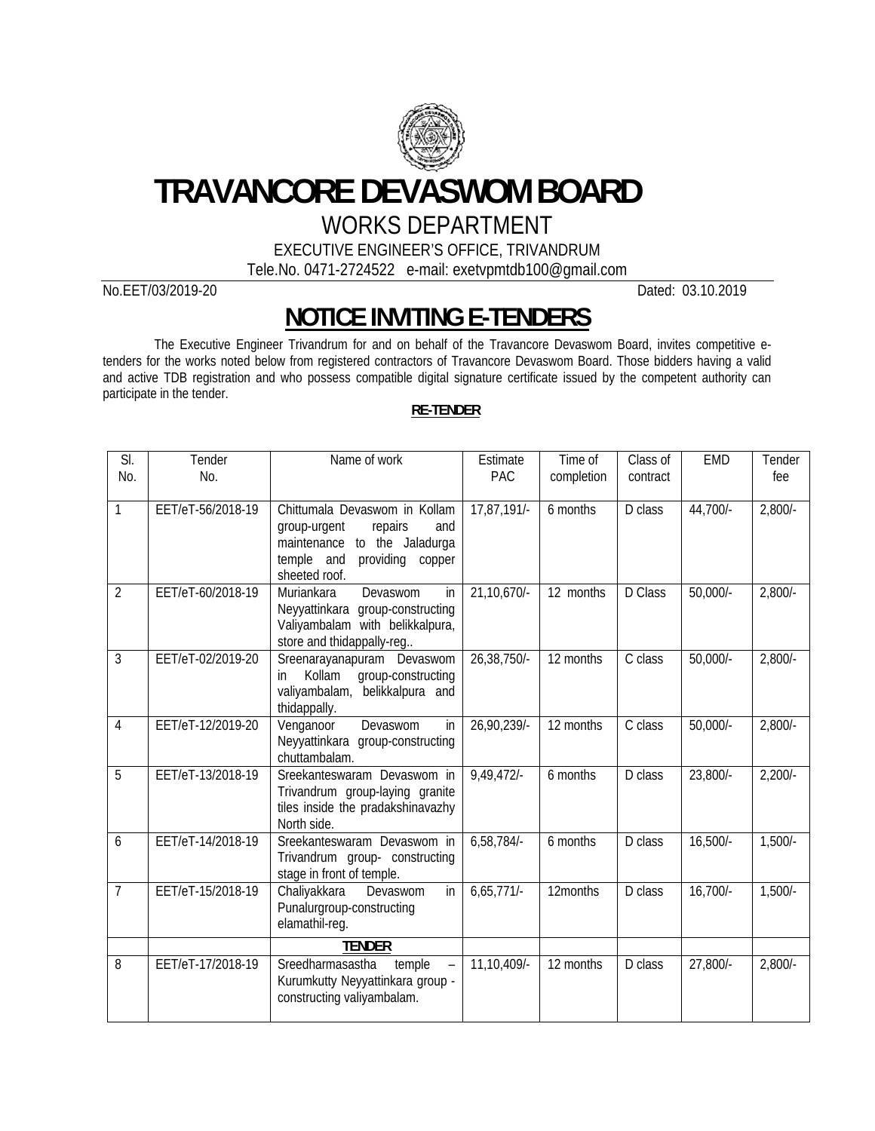

**TRAVANCORE DEVASWOM BOARD**

## WORKS DEPARTMENT

EXECUTIVE ENGINEER'S OFFICE, TRIVANDRUM

Tele.No. 0471-2724522 e-mail: exetvpmtdb100@gmail.com

No.EET/03/2019-20 Dated: 03.10.2019

## **NOTICE INVITING E-TENDERS**

The Executive Engineer Trivandrum for and on behalf of the Travancore Devaswom Board, invites competitive etenders for the works noted below from registered contractors of Travancore Devaswom Board. Those bidders having a valid and active TDB registration and who possess compatible digital signature certificate issued by the competent authority can participate in the tender.

## **RE-TENDER**

| SI.            | Tender            | Name of work                                                      | Estimate      | Time of    | Class of | <b>EMD</b> | Tender    |
|----------------|-------------------|-------------------------------------------------------------------|---------------|------------|----------|------------|-----------|
| No.            | No.               |                                                                   | PAC           | completion | contract |            | fee       |
|                |                   |                                                                   |               |            |          |            |           |
| 1              | EET/eT-56/2018-19 | Chittumala Devaswom in Kollam                                     | 17,87,191/-   | 6 months   | D class  | 44,700/-   | $2,800/-$ |
|                |                   | repairs<br>group-urgent<br>and<br>maintenance<br>to the Jaladurga |               |            |          |            |           |
|                |                   | temple and<br>providing<br>copper                                 |               |            |          |            |           |
|                |                   | sheeted roof.                                                     |               |            |          |            |           |
| $\overline{2}$ | EET/eT-60/2018-19 | $\mathsf{in}$<br>Muriankara<br>Devaswom                           | 21,10,670/-   | 12 months  | D Class  | $50,000/-$ | $2,800/-$ |
|                |                   | Neyyattinkara<br>group-constructing                               |               |            |          |            |           |
|                |                   | Valiyambalam with belikkalpura,                                   |               |            |          |            |           |
| 3              | EET/eT-02/2019-20 | store and thidappally-reg                                         | 26,38,750/-   | 12 months  | C class  | $50,000/-$ |           |
|                |                   | Sreenarayanapuram Devaswom<br>group-constructing<br>Kollam<br>in  |               |            |          |            | $2,800/-$ |
|                |                   | valiyambalam, belikkalpura and                                    |               |            |          |            |           |
|                |                   | thidappally.                                                      |               |            |          |            |           |
| 4              | EET/eT-12/2019-20 | Devaswom<br>in<br>Venganoor                                       | 26,90,239/-   | 12 months  | C class  | $50,000/-$ | $2,800/-$ |
|                |                   | Neyyattinkara group-constructing                                  |               |            |          |            |           |
| 5              | EET/eT-13/2018-19 | chuttambalam.<br>Sreekanteswaram Devaswom in                      | $9,49,472$ /- | 6 months   | D class  |            |           |
|                |                   | Trivandrum group-laying granite                                   |               |            |          | 23,800/-   | $2,200/-$ |
|                |                   | tiles inside the pradakshinavazhy                                 |               |            |          |            |           |
|                |                   | North side.                                                       |               |            |          |            |           |
| 6              | EET/eT-14/2018-19 | Sreekanteswaram Devaswom in                                       | 6,58,784/-    | 6 months   | D class  | $16,500/-$ | $1,500/-$ |
|                |                   | Trivandrum group- constructing                                    |               |            |          |            |           |
| $\overline{7}$ | EET/eT-15/2018-19 | stage in front of temple.<br>Chaliyakkara<br>Devaswom<br>in       | $6,65,771/-$  | 12months   | D class  | $16,700/-$ | $1,500/-$ |
|                |                   | Punalurgroup-constructing                                         |               |            |          |            |           |
|                |                   | elamathil-reg.                                                    |               |            |          |            |           |
|                |                   | <b>TENDER</b>                                                     |               |            |          |            |           |
| 8              | EET/eT-17/2018-19 | Sreedharmasastha<br>temple                                        | 11,10,409/-   | 12 months  | D class  | 27,800/-   | $2,800/-$ |
|                |                   | Kurumkutty Neyyattinkara group -                                  |               |            |          |            |           |
|                |                   | constructing valiyambalam.                                        |               |            |          |            |           |
|                |                   |                                                                   |               |            |          |            |           |